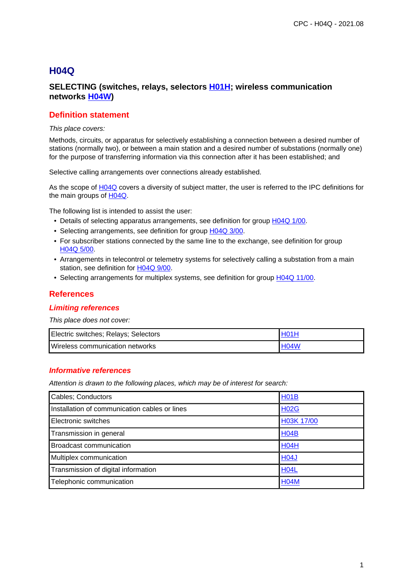## **H04Q**

## **SELECTING (switches, relays, selectors H01H; wireless communication networks H04W)**

## **Definition statement**

#### This place covers:

Methods, circuits, or apparatus for selectively establishing a connection between a desired number of stations (normally two), or between a main station and a desired number of substations (normally one) for the purpose of transferring information via this connection after it has been established; and

Selective calling arrangements over connections already established.

As the scope of H04Q covers a diversity of subject matter, the user is referred to the IPC definitions for the main groups of H04Q.

The following list is intended to assist the user:

- Details of selecting apparatus arrangements, see definition for group H04Q 1/00.
- Selecting arrangements, see definition for group H04Q 3/00.
- For subscriber stations connected by the same line to the exchange, see definition for group H04Q 5/00.
- Arrangements in telecontrol or telemetry systems for selectively calling a substation from a main station, see definition for H04Q 9/00.
- Selecting arrangements for multiplex systems, see definition for group H04Q 11/00.

#### **References**

#### **Limiting references**

This place does not cover:

| Electric switches; Relays; Selectors | H <sub>01</sub> |
|--------------------------------------|-----------------|
| Wireless communication networks      | <b>H04W</b>     |

#### **Informative references**

| Cables; Conductors                            | <b>H01B</b> |
|-----------------------------------------------|-------------|
| Installation of communication cables or lines | <b>H02G</b> |
| Electronic switches                           | H03K 17/00  |
| Transmission in general                       | <b>H04B</b> |
| Broadcast communication                       | <b>H04H</b> |
| Multiplex communication                       | <b>H04J</b> |
| Transmission of digital information           | <b>H04L</b> |
| Telephonic communication                      | <b>H04M</b> |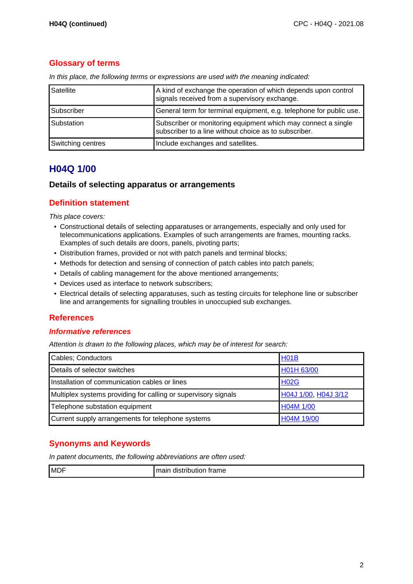## **Glossary of terms**

|  |  |  | In this place, the following terms or expressions are used with the meaning indicated: |
|--|--|--|----------------------------------------------------------------------------------------|
|  |  |  |                                                                                        |

| Satellite         | A kind of exchange the operation of which depends upon control<br>signals received from a supervisory exchange.        |
|-------------------|------------------------------------------------------------------------------------------------------------------------|
| Subscriber        | General term for terminal equipment, e.g. telephone for public use.                                                    |
| Substation        | Subscriber or monitoring equipment which may connect a single<br>subscriber to a line without choice as to subscriber. |
| Switching centres | Include exchanges and satellites.                                                                                      |

## **H04Q 1/00**

#### **Details of selecting apparatus or arrangements**

#### **Definition statement**

This place covers:

- Constructional details of selecting apparatuses or arrangements, especially and only used for telecommunications applications. Examples of such arrangements are frames, mounting racks. Examples of such details are doors, panels, pivoting parts;
- Distribution frames, provided or not with patch panels and terminal blocks;
- Methods for detection and sensing of connection of patch cables into patch panels;
- Details of cabling management for the above mentioned arrangements;
- Devices used as interface to network subscribers;
- Electrical details of selecting apparatuses, such as testing circuits for telephone line or subscriber line and arrangements for signalling troubles in unoccupied sub exchanges.

#### **References**

#### **Informative references**

Attention is drawn to the following places, which may be of interest for search:

| Cables; Conductors                                             | H <sub>01</sub> B    |
|----------------------------------------------------------------|----------------------|
| Details of selector switches                                   | H01H 63/00           |
| Installation of communication cables or lines                  | <b>H02G</b>          |
| Multiplex systems providing for calling or supervisory signals | H04J 1/00, H04J 3/12 |
| Telephone substation equipment                                 | H04M 1/00            |
| Current supply arrangements for telephone systems              | H04M 19/00           |

## **Synonyms and Keywords**

In patent documents, the following abbreviations are often used: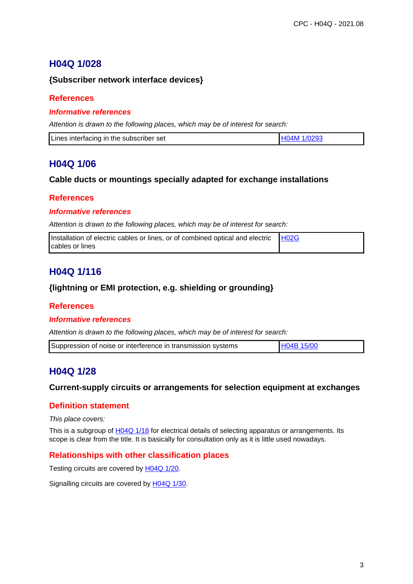## **H04Q 1/028**

## **{Subscriber network interface devices}**

### **References**

#### **Informative references**

Attention is drawn to the following places, which may be of interest for search:

| Lines interfacing in the subscriber set | H04M 1/0293 |
|-----------------------------------------|-------------|
|                                         |             |

## **H04Q 1/06**

#### **Cable ducts or mountings specially adapted for exchange installations**

#### **References**

#### **Informative references**

Attention is drawn to the following places, which may be of interest for search:

| Installation of electric cables or lines, or of combined optical and electric | H02G |
|-------------------------------------------------------------------------------|------|
| <b>I</b> cables or lines                                                      |      |

## **H04Q 1/116**

#### **{lightning or EMI protection, e.g. shielding or grounding}**

#### **References**

#### **Informative references**

Attention is drawn to the following places, which may be of interest for search:

| Suppression of noise or interference in transmission systems | H04B 15/00 |
|--------------------------------------------------------------|------------|
|--------------------------------------------------------------|------------|

## **H04Q 1/28**

#### **Current-supply circuits or arrangements for selection equipment at exchanges**

## **Definition statement**

This place covers:

This is a subgroup of H04Q 1/18 for electrical details of selecting apparatus or arrangements. Its scope is clear from the title. It is basically for consultation only as it is little used nowadays.

## **Relationships with other classification places**

Testing circuits are covered by H04Q 1/20.

Signalling circuits are covered by H04Q 1/30.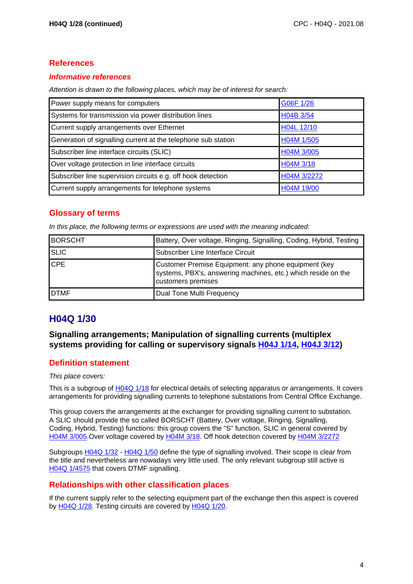#### **Informative references**

Attention is drawn to the following places, which may be of interest for search:

| Power supply means for computers                              | G06F 1/26   |
|---------------------------------------------------------------|-------------|
| Systems for transmission via power distribution lines         | H04B 3/54   |
| Current supply arrangements over Ethernet                     | H04L 12/10  |
| Generation of signalling current at the telephone sub station | H04M 1/505  |
| Subscriber line interface circuits (SLIC)                     | H04M 3/005  |
| Over voltage protection in line interface circuits            | H04M 3/18   |
| Subscriber line supervision circuits e.g. off hook detection  | H04M 3/2272 |
| Current supply arrangements for telephone systems             | H04M 19/00  |

## **Glossary of terms**

In this place, the following terms or expressions are used with the meaning indicated:

| <b>BORSCHT</b> | Battery, Over voltage, Ringing, Signalling, Coding, Hybrid, Testing                                                                         |
|----------------|---------------------------------------------------------------------------------------------------------------------------------------------|
| <b>SLIC</b>    | Subscriber Line Interface Circuit                                                                                                           |
| <b>CPE</b>     | Customer Premise Equipment: any phone equipment (key<br>systems, PBX's, answering machines, etc.) which reside on the<br>customers premises |
| <b>IDTMF</b>   | Dual Tone Multi Frequency                                                                                                                   |

# **H04Q 1/30**

**Signalling arrangements; Manipulation of signalling currents (multiplex systems providing for calling or supervisory signals H04J 1/14, H04J 3/12)**

## **Definition statement**

#### This place covers:

This is a subgroup of H04Q 1/18 for electrical details of selecting apparatus or arrangements. It covers arrangements for providing signalling currents to telephone substations from Central Office Exchange.

This group covers the arrangements at the exchanger for providing signalling current to substation. A SLIC should provide the so called BORSCHT (Battery, Over voltage, Ringing, Signalling, Coding, Hybrid, Testing) functions: this group covers the "S" function. SLIC in general covered by H04M 3/005.Over voltage covered by H04M 3/18. Off hook detection covered by H04M 3/2272

Subgroups H04Q 1/32 - H04Q 1/50 define the type of signalling involved. Their scope is clear from the title and nevertheless are nowadays very little used. The only relevant subgroup still active is H04Q 1/4575 that covers DTMF signalling.

## **Relationships with other classification places**

If the current supply refer to the selecting equipment part of the exchange then this aspect is covered by H04Q 1/28. Testing circuits are covered by H04Q 1/20.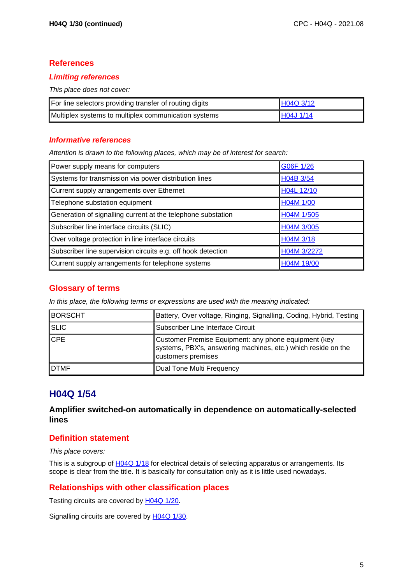#### **Limiting references**

This place does not cover:

| For line selectors providing transfer of routing digits | H04Q 3/12   |
|---------------------------------------------------------|-------------|
| Multiplex systems to multiplex communication systems    | I H04J 1/14 |

#### **Informative references**

Attention is drawn to the following places, which may be of interest for search:

| Power supply means for computers                             | G06F 1/26   |
|--------------------------------------------------------------|-------------|
| Systems for transmission via power distribution lines        | H04B 3/54   |
| Current supply arrangements over Ethernet                    | H04L 12/10  |
| Telephone substation equipment                               | H04M 1/00   |
| Generation of signalling current at the telephone substation | H04M 1/505  |
| Subscriber line interface circuits (SLIC)                    | H04M 3/005  |
| Over voltage protection in line interface circuits           | HO4M 3/18   |
| Subscriber line supervision circuits e.g. off hook detection | H04M 3/2272 |
| Current supply arrangements for telephone systems            | H04M 19/00  |

## **Glossary of terms**

In this place, the following terms or expressions are used with the meaning indicated:

| <b>BORSCHT</b> | Battery, Over voltage, Ringing, Signalling, Coding, Hybrid, Testing                                                                         |
|----------------|---------------------------------------------------------------------------------------------------------------------------------------------|
| <b>SLIC</b>    | Subscriber Line Interface Circuit                                                                                                           |
| <b>CPE</b>     | Customer Premise Equipment: any phone equipment (key<br>systems, PBX's, answering machines, etc.) which reside on the<br>customers premises |
| <b>IDTMF</b>   | Dual Tone Multi Frequency                                                                                                                   |

## **H04Q 1/54**

#### **Amplifier switched-on automatically in dependence on automatically-selected lines**

## **Definition statement**

This place covers:

This is a subgroup of H04Q 1/18 for electrical details of selecting apparatus or arrangements. Its scope is clear from the title. It is basically for consultation only as it is little used nowadays.

#### **Relationships with other classification places**

Testing circuits are covered by H04Q 1/20.

Signalling circuits are covered by H04Q 1/30.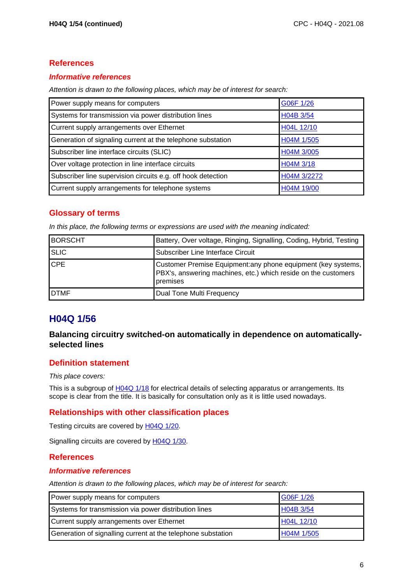#### **Informative references**

Attention is drawn to the following places, which may be of interest for search:

| Power supply means for computers                             | G06F 1/26   |
|--------------------------------------------------------------|-------------|
| Systems for transmission via power distribution lines        | H04B 3/54   |
| Current supply arrangements over Ethernet                    | H04L 12/10  |
| Generation of signaling current at the telephone substation  | H04M 1/505  |
| Subscriber line interface circuits (SLIC)                    | H04M 3/005  |
| Over voltage protection in line interface circuits           | H04M 3/18   |
| Subscriber line supervision circuits e.g. off hook detection | H04M 3/2272 |
| Current supply arrangements for telephone systems            | H04M 19/00  |

## **Glossary of terms**

In this place, the following terms or expressions are used with the meaning indicated:

| <b>BORSCHT</b> | Battery, Over voltage, Ringing, Signalling, Coding, Hybrid, Testing                                                                         |
|----------------|---------------------------------------------------------------------------------------------------------------------------------------------|
| <b>SLIC</b>    | Subscriber Line Interface Circuit                                                                                                           |
| <b>CPE</b>     | Customer Premise Equipment: any phone equipment (key systems,<br>PBX's, answering machines, etc.) which reside on the customers<br>premises |
| <b>DTMF</b>    | Dual Tone Multi Frequency                                                                                                                   |

# **H04Q 1/56**

## **Balancing circuitry switched-on automatically in dependence on automaticallyselected lines**

## **Definition statement**

#### This place covers:

This is a subgroup of H04Q 1/18 for electrical details of selecting apparatus or arrangements. Its scope is clear from the title. It is basically for consultation only as it is little used nowadays.

## **Relationships with other classification places**

Testing circuits are covered by H04Q 1/20.

Signalling circuits are covered by H04Q 1/30.

#### **References**

#### **Informative references**

| Power supply means for computers                             | G06F 1/26  |
|--------------------------------------------------------------|------------|
| Systems for transmission via power distribution lines        | H04B 3/54  |
| Current supply arrangements over Ethernet                    | H04L 12/10 |
| Generation of signalling current at the telephone substation | H04M 1/505 |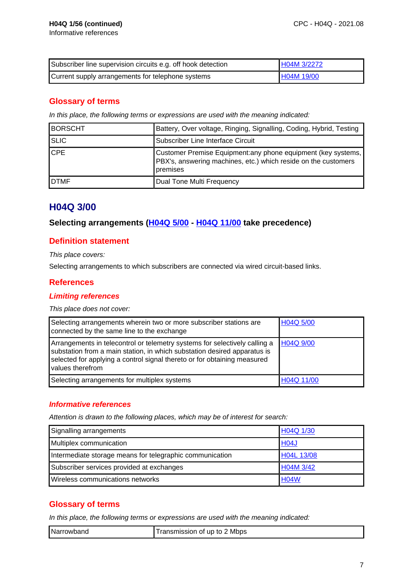| Subscriber line supervision circuits e.g. off hook detection | H04M 3/2272 |
|--------------------------------------------------------------|-------------|
| Current supply arrangements for telephone systems            | H04M 19/00  |

## **Glossary of terms**

In this place, the following terms or expressions are used with the meaning indicated:

| <b>BORSCHT</b> | Battery, Over voltage, Ringing, Signalling, Coding, Hybrid, Testing                                                                         |
|----------------|---------------------------------------------------------------------------------------------------------------------------------------------|
| <b>SLIC</b>    | Subscriber Line Interface Circuit                                                                                                           |
| <b>CPE</b>     | Customer Premise Equipment: any phone equipment (key systems,<br>PBX's, answering machines, etc.) which reside on the customers<br>premises |
| <b>DTMF</b>    | Dual Tone Multi Frequency                                                                                                                   |

## **H04Q 3/00**

#### **Selecting arrangements (H04Q 5/00 - H04Q 11/00 take precedence)**

#### **Definition statement**

This place covers:

Selecting arrangements to which subscribers are connected via wired circuit-based links.

#### **References**

#### **Limiting references**

This place does not cover:

| Selecting arrangements wherein two or more subscriber stations are<br>connected by the same line to the exchange                                                                                                                                       | H04Q 5/00  |
|--------------------------------------------------------------------------------------------------------------------------------------------------------------------------------------------------------------------------------------------------------|------------|
| Arrangements in telecontrol or telemetry systems for selectively calling a<br>substation from a main station, in which substation desired apparatus is<br>selected for applying a control signal thereto or for obtaining measured<br>values therefrom | H04Q 9/00  |
| Selecting arrangements for multiplex systems                                                                                                                                                                                                           | H04Q 11/00 |

#### **Informative references**

Attention is drawn to the following places, which may be of interest for search:

| Signalling arrangements                                  | H04Q 1/30   |
|----------------------------------------------------------|-------------|
| Multiplex communication                                  | <b>H04J</b> |
| Intermediate storage means for telegraphic communication | H04L 13/08  |
| Subscriber services provided at exchanges                | H04M 3/42   |
| Wireless communications networks                         | <b>H04W</b> |

## **Glossary of terms**

In this place, the following terms or expressions are used with the meaning indicated:

| Narrowband | Mbps<br>. ransmission of up to |
|------------|--------------------------------|
|------------|--------------------------------|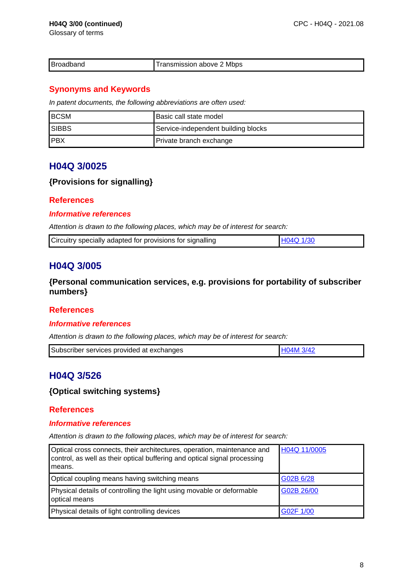Glossary of terms

|  | Broadband | Transmission above 2 Mbps |
|--|-----------|---------------------------|
|--|-----------|---------------------------|

## **Synonyms and Keywords**

In patent documents, the following abbreviations are often used:

| <b>BCSM</b>  | l Basic call state model            |
|--------------|-------------------------------------|
| <b>SIBBS</b> | Service-independent building blocks |
| IPBX         | Private branch exchange             |

## **H04Q 3/0025**

## **{Provisions for signalling}**

## **References**

## **Informative references**

Attention is drawn to the following places, which may be of interest for search:

| LH04O 1/30 | Circuitry specially adapted for provisions for signalling |  |
|------------|-----------------------------------------------------------|--|
|------------|-----------------------------------------------------------|--|

# **H04Q 3/005**

**{Personal communication services, e.g. provisions for portability of subscriber numbers}**

## **References**

#### **Informative references**

Attention is drawn to the following places, which may be of interest for search:

| Subscriber services provided at exchanges |  |
|-------------------------------------------|--|
|                                           |  |

# **H04Q 3/526**

## **{Optical switching systems}**

## **References**

#### **Informative references**

| Optical cross connects, their architectures, operation, maintenance and<br>control, as well as their optical buffering and optical signal processing<br>I means. | H04Q 11/0005 |
|------------------------------------------------------------------------------------------------------------------------------------------------------------------|--------------|
| Optical coupling means having switching means                                                                                                                    | G02B 6/28    |
| Physical details of controlling the light using movable or deformable<br>optical means                                                                           | G02B 26/00   |
| Physical details of light controlling devices                                                                                                                    | G02F 1/00    |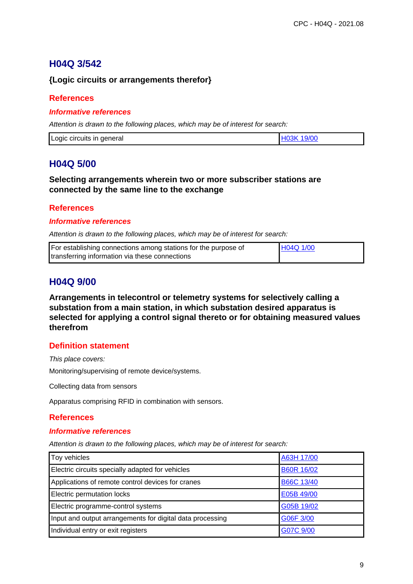# **H04Q 3/542**

## **{Logic circuits or arrangements therefor}**

### **References**

#### **Informative references**

Attention is drawn to the following places, which may be of interest for search:

| Logic circuits in<br>general |
|------------------------------|
|------------------------------|

## **H04Q 5/00**

#### **Selecting arrangements wherein two or more subscriber stations are connected by the same line to the exchange**

#### **References**

#### **Informative references**

Attention is drawn to the following places, which may be of interest for search:

| For establishing connections among stations for the purpose of | H04Q 1/00 |
|----------------------------------------------------------------|-----------|
| transferring information via these connections                 |           |

## **H04Q 9/00**

**Arrangements in telecontrol or telemetry systems for selectively calling a substation from a main station, in which substation desired apparatus is selected for applying a control signal thereto or for obtaining measured values therefrom**

## **Definition statement**

This place covers:

Monitoring/supervising of remote device/systems.

Collecting data from sensors

Apparatus comprising RFID in combination with sensors.

#### **References**

#### **Informative references**

| Toy vehicles                                              | A63H 17/00        |
|-----------------------------------------------------------|-------------------|
| Electric circuits specially adapted for vehicles          | <b>B60R 16/02</b> |
| Applications of remote control devices for cranes         | <b>B66C 13/40</b> |
| Electric permutation locks                                | E05B 49/00        |
| Electric programme-control systems                        | G05B 19/02        |
| Input and output arrangements for digital data processing | G06F 3/00         |
| Individual entry or exit registers                        | G07C 9/00         |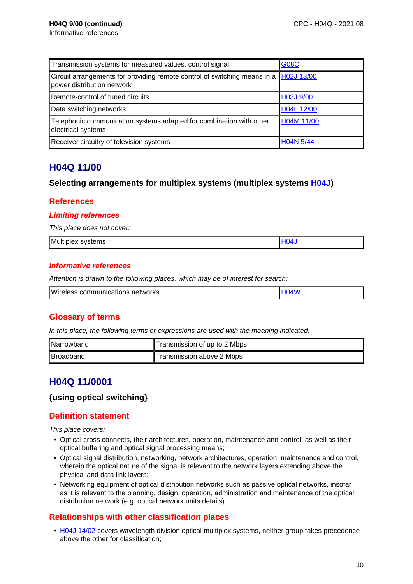| Transmission systems for measured values, control signal                                                            | <b>G08C</b> |
|---------------------------------------------------------------------------------------------------------------------|-------------|
| Circuit arrangements for providing remote control of switching means in a  H02J 13/00<br>power distribution network |             |
| Remote-control of tuned circuits                                                                                    | H03J 9/00   |
| Data switching networks                                                                                             | H04L 12/00  |
| Telephonic communication systems adapted for combination with other<br>electrical systems                           | H04M 11/00  |
| Receiver circuitry of television systems                                                                            | H04N 5/44   |

## **H04Q 11/00**

#### **Selecting arrangements for multiplex systems (multiplex systems H04J)**

#### **References**

#### **Limiting references**

This place does not cover:

|--|

#### **Informative references**

Attention is drawn to the following places, which may be of interest for search:

| <b>Wireless</b><br>communications networks |  |
|--------------------------------------------|--|
|                                            |  |

## **Glossary of terms**

In this place, the following terms or expressions are used with the meaning indicated:

| Narrowband | Transmission of up to 2 Mbps |
|------------|------------------------------|
| Broadband  | Transmission above 2 Mbps    |

## **H04Q 11/0001**

#### **{using optical switching}**

## **Definition statement**

This place covers:

- Optical cross connects, their architectures, operation, maintenance and control, as well as their optical buffering and optical signal processing means;
- Optical signal distribution, networking, network architectures, operation, maintenance and control, wherein the optical nature of the signal is relevant to the network layers extending above the physical and data link layers;
- Networking equipment of optical distribution networks such as passive optical networks, insofar as it is relevant to the planning, design, operation, administration and maintenance of the optical distribution network (e.g. optical network units details).

## **Relationships with other classification places**

• H04J 14/02 covers wavelength division optical multiplex systems, neither group takes precedence above the other for classification;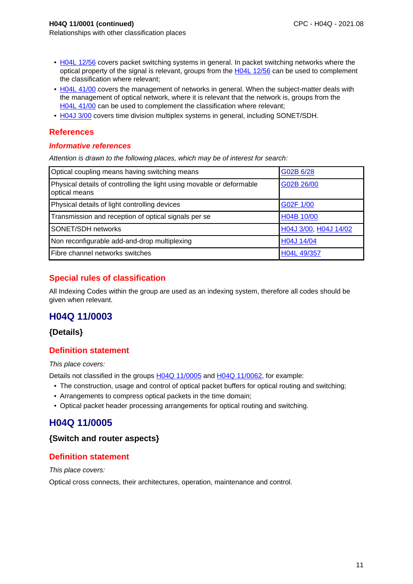- H04L 12/56 covers packet switching systems in general. In packet switching networks where the optical property of the signal is relevant, groups from the H04L 12/56 can be used to complement the classification where relevant;
- H04L 41/00 covers the management of networks in general. When the subject-matter deals with the management of optical network, where it is relevant that the network is, groups from the H04L 41/00 can be used to complement the classification where relevant;
- H04J 3/00 covers time division multiplex systems in general, including SONET/SDH.

#### **Informative references**

Attention is drawn to the following places, which may be of interest for search:

| Optical coupling means having switching means                                          | G02B 6/28             |
|----------------------------------------------------------------------------------------|-----------------------|
| Physical details of controlling the light using movable or deformable<br>optical means | G02B 26/00            |
| Physical details of light controlling devices                                          | G02F 1/00             |
| Transmission and reception of optical signals per se                                   | H04B 10/00            |
| SONET/SDH networks                                                                     | H04J 3/00, H04J 14/02 |
| Non reconfigurable add-and-drop multiplexing                                           | H04J 14/04            |
| Fibre channel networks switches                                                        | H04L 49/357           |

## **Special rules of classification**

All Indexing Codes within the group are used as an indexing system, therefore all codes should be given when relevant.

## **H04Q 11/0003**

## **{Details}**

## **Definition statement**

This place covers:

Details not classified in the groups H04Q 11/0005 and H04Q 11/0062, for example:

- The construction, usage and control of optical packet buffers for optical routing and switching;
- Arrangements to compress optical packets in the time domain;
- Optical packet header processing arrangements for optical routing and switching.

# **H04Q 11/0005**

#### **{Switch and router aspects}**

## **Definition statement**

This place covers:

Optical cross connects, their architectures, operation, maintenance and control.